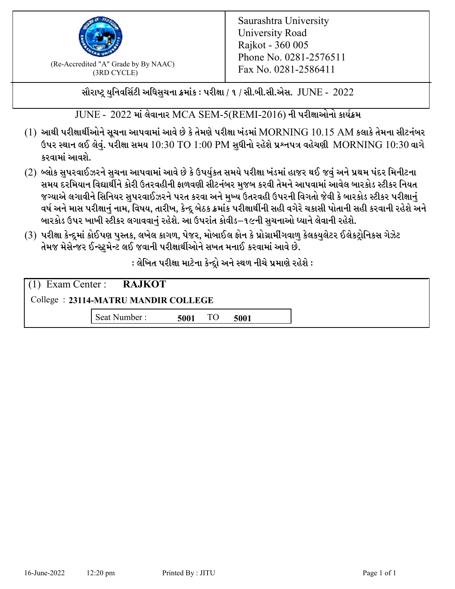

 $F_{\text{R}}$  (Re-Accredited "A" Grade by By NAAC)<br>(3PD CVCLE)<br> $F_{\text{R}}$  No. 0281-2586411 (3RD CYCLE)

સૌરાષ્ટ્ર યુનિવર્સિટી અધિસુચના ક્રમાંક : પરીક્ષા / ૧ / સી.બી.સી.એસ.  $\,$  JUNE -  $\,2022$ 

 $JUNE - 2022$  માં લેવાનાર MCA SEM-5(REMI-2016) ની પરીક્ષાઓનો કાર્યક્રમ

- $(1)$  આથી પરીક્ષાર્થીઓને સૂચના આપવામાં આવે છે કે તેમણે પરીક્ષા ખંડમાં  $\operatorname{MORNING}$   $10.15$   $\operatorname{AM}$  કલાકે તેમના સીટનંબર ઉપર સ્થાન લઈ લેવું. પરીક્ષા સમય  $10:30 \text{ TO } 1:00 \text{ PM}$  સુધીનો રહેશે પ્રશ્નપત્ર વહેચણી  $\text{MORNING } 10:30$  વાગે કરવામાં આવશે.
- (2) બ્લોક સુપરવાઈઝરને સુચના આપવામાં આવે છે કે ઉપર્યુકત સમયે પરીક્ષા ખંડમાં હાજર થઈ જવું અને પ્રથમ પંદર મિનીટના સમય દરમિયાન વિદ્યાર્થીને કોરી ઉતરવહીની ફાળવણી સીટનંબર મજબ કરવી તેમને આપવામાં આવેલ બારકોડ સ્ટીકર નિયત જગ્યાએ લગાવીને સિનિયર સુપરવાઈઝરને પરત કરવા અને મુખ્ય ઉતરવહી ઉપરની વિગતો જેવી કે બારકોડ સ્ટીકર પરીક્ષ<u>ાન</u>ં વર્ષ અને માસ પરીક્ષાનું નામ, વિષય, તારીખ, કેન્દ્ર બેઠક ક્રમાંક પરીક્ષાર્થીની સહી વગેરે ચકાસી પોતાની સહી કરવાની રહેશે અને બારકોડ ઉપર ખાખી સ્ટીકર લગાવવાનં રહેશે. આ ઉપરાંત કોવીડ–૧૯ની સચનાઓ ધ્યાને લેવાની રહેશે.
- (3) પરીક્ષા કેન્દ્રમાં કોઈપણ પુસ્તક, લખેલ કાગળ, પેજર, મોબાઈલ ફોન કે પ્રોગ્રામીંગવાળુ કેલકયુલેટર ઈલેકટ્રોનિકસ ગેઝેટ તેમજ મેસેન્જર ઈન્સ્ટમેન્ટ લઈ જવાની પરીક્ષાર્થીઓને સખત મનાઈ કરવામાં આવે છે.

: લેખિત પરીક્ષા માટેના કેન્દ્દો અને સ્થળ નીચે પ્રમાણે રહેશે :

|                                     | $(1)$ Exam Center : <b>RAJKOT</b> |      |    |      |  |  |
|-------------------------------------|-----------------------------------|------|----|------|--|--|
| College: 23114-MATRU MANDIR COLLEGE |                                   |      |    |      |  |  |
|                                     | Seat Number:                      | 5001 | TO | 5001 |  |  |